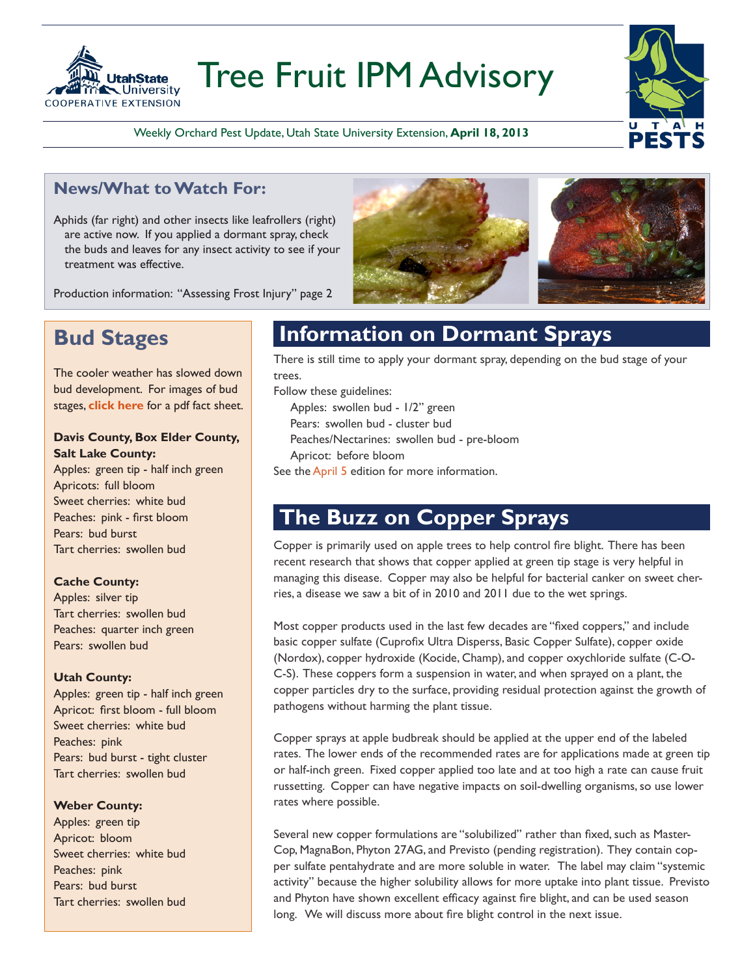

# Tree Fruit IPM Advisory



Weekly Orchard Pest Update, Utah State University Extension, **April 18, 2013**

### **News/What to Watch For:**

Aphids (far right) and other insects like leafrollers (right) are active now. If you applied a dormant spray, check the buds and leaves for any insect activity to see if your treatment was effective.

Production information: "Assessing Frost Injury" page 2

## **Bud Stages**

The cooler weather has slowed down bud development. For images of bud stages, **[click here](http://extension.usu.edu/files/publications/factsheet/pub__5191779.pdf)** for a pdf fact sheet.

#### **Davis County, Box Elder County, Salt Lake County:**

Apples: green tip - half inch green Apricots: full bloom Sweet cherries: white bud Peaches: pink - first bloom Pears: bud burst Tart cherries: swollen bud

#### **Cache County:**

Apples: silver tip Tart cherries: swollen bud Peaches: quarter inch green Pears: swollen bud

#### **Utah County:**

Apples: green tip - half inch green Apricot: first bloom - full bloom Sweet cherries: white bud Peaches: pink Pears: bud burst - tight cluster Tart cherries: swollen bud

#### **Weber County:**

Apples: green tip Apricot: bloom Sweet cherries: white bud Peaches: pink Pears: bud burst Tart cherries: swollen bud

### **Information on Dormant Sprays**

There is still time to apply your dormant spray, depending on the bud stage of your trees.

Follow these guidelines:

Apples: swollen bud - 1/2" green

Pears: swollen bud - cluster bud

Peaches/Nectarines: swollen bud - pre-bloom

Apricot: before bloom

See the [April 5](http://utahpests.usu.edu/IPM/files/uploads/AdvisoryUpdates/Advisory13/Fruit-IPM-04-05-13.pdf) edition for more information.

### **The Buzz on Copper Sprays**

Copper is primarily used on apple trees to help control fire blight. There has been recent research that shows that copper applied at green tip stage is very helpful in managing this disease. Copper may also be helpful for bacterial canker on sweet cherries, a disease we saw a bit of in 2010 and 2011 due to the wet springs.

Most copper products used in the last few decades are "fixed coppers," and include basic copper sulfate (Cuprofix Ultra Disperss, Basic Copper Sulfate), copper oxide (Nordox), copper hydroxide (Kocide, Champ), and copper oxychloride sulfate (C-O-C-S). These coppers form a suspension in water, and when sprayed on a plant, the copper particles dry to the surface, providing residual protection against the growth of pathogens without harming the plant tissue.

Copper sprays at apple budbreak should be applied at the upper end of the labeled rates. The lower ends of the recommended rates are for applications made at green tip or half-inch green. Fixed copper applied too late and at too high a rate can cause fruit russetting. Copper can have negative impacts on soil-dwelling organisms, so use lower rates where possible.

Several new copper formulations are "solubilized" rather than fixed, such as Master-Cop, MagnaBon, Phyton 27AG, and Previsto (pending registration). They contain copper sulfate pentahydrate and are more soluble in water. The label may claim "systemic activity" because the higher solubility allows for more uptake into plant tissue. Previsto and Phyton have shown excellent efficacy against fire blight, and can be used season long. We will discuss more about fire blight control in the next issue.